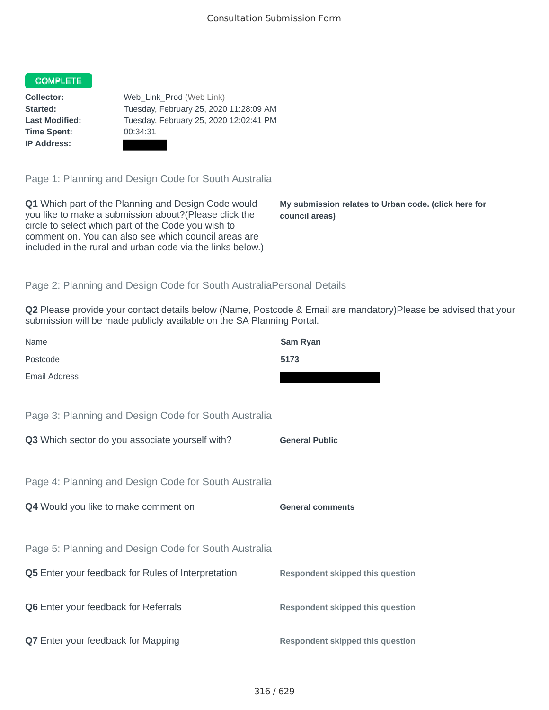## COMPLETE

**Time Spent:** 00:34:31 **IP Address:**

**Collector:** Web\_Link\_Prod (Web Link) **Started:** Tuesday, February 25, 2020 11:28:09 AM **Last Modified:** Tuesday, February 25, 2020 12:02:41 PM

Page 1: Planning and Design Code for South Australia

**Q1** Which part of the Planning and Design Code would you like to make a submission about?(Please click the circle to select which part of the Code you wish to comment on. You can also see which council areas are included in the rural and urban code via the links below.)

**My submission relates to Urban code. (click here for council areas)**

## Page 2: Planning and Design Code for South AustraliaPersonal Details

**Q2** Please provide your contact details below (Name, Postcode & Email are mandatory)Please be advised that your submission will be made publicly available on the SA Planning Portal.

| Name                                 |                                                           | Sam Ryan                                |
|--------------------------------------|-----------------------------------------------------------|-----------------------------------------|
| Postcode                             |                                                           | 5173                                    |
| <b>Email Address</b>                 |                                                           |                                         |
|                                      |                                                           |                                         |
|                                      | Page 3: Planning and Design Code for South Australia      |                                         |
|                                      | Q3 Which sector do you associate yourself with?           | <b>General Public</b>                   |
|                                      |                                                           |                                         |
|                                      | Page 4: Planning and Design Code for South Australia      |                                         |
| Q4 Would you like to make comment on |                                                           | <b>General comments</b>                 |
|                                      |                                                           |                                         |
|                                      | Page 5: Planning and Design Code for South Australia      |                                         |
|                                      |                                                           |                                         |
|                                      | <b>Q5</b> Enter your feedback for Rules of Interpretation | <b>Respondent skipped this question</b> |
|                                      |                                                           |                                         |
|                                      | <b>Q6</b> Enter your feedback for Referrals               | <b>Respondent skipped this question</b> |
|                                      | Q7 Enter your feedback for Mapping                        | <b>Respondent skipped this question</b> |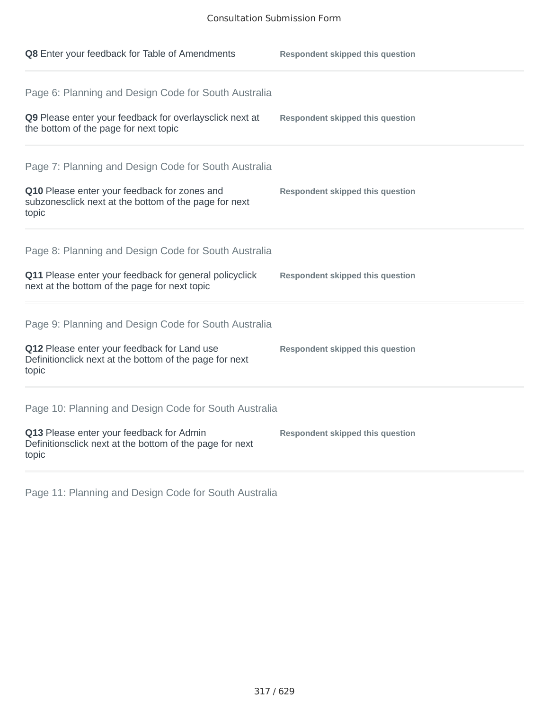| Q8 Enter your feedback for Table of Amendments                                                                                                                          | <b>Respondent skipped this question</b> |
|-------------------------------------------------------------------------------------------------------------------------------------------------------------------------|-----------------------------------------|
| Page 6: Planning and Design Code for South Australia<br>Q9 Please enter your feedback for overlaysclick next at<br>the bottom of the page for next topic                | <b>Respondent skipped this question</b> |
| Page 7: Planning and Design Code for South Australia<br>Q10 Please enter your feedback for zones and<br>subzonesclick next at the bottom of the page for next<br>topic  | <b>Respondent skipped this question</b> |
| Page 8: Planning and Design Code for South Australia<br>Q11 Please enter your feedback for general policyclick<br>next at the bottom of the page for next topic         | <b>Respondent skipped this question</b> |
| Page 9: Planning and Design Code for South Australia<br>Q12 Please enter your feedback for Land use<br>Definitionclick next at the bottom of the page for next<br>topic | <b>Respondent skipped this question</b> |
| Page 10: Planning and Design Code for South Australia<br>Q13 Please enter your feedback for Admin<br>Definitionsclick next at the bottom of the page for next<br>topic  | <b>Respondent skipped this question</b> |

Page 11: Planning and Design Code for South Australia